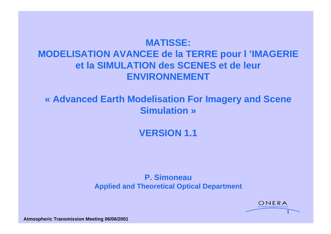# **MATISSE: MODELISATION AVANCEE de la TERRE pour l 'IMAGERIE et la SIMULATION des SCENES et de leur ENVIRONNEMENT**

## **« Advanced Earth Modelisation For Imagery and Scene Simulation »**

**VERSION 1.1**

#### **P. Simoneau Applied and Theoretical Optical Department**

ONERA

1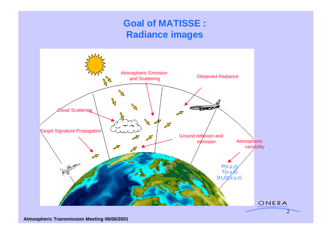# **Goal of MATISSE : Radiance images**

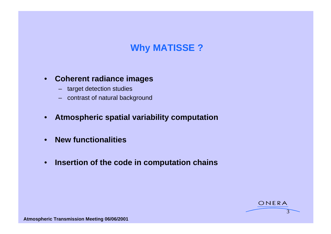# **Why MATISSE ?**

#### • **Coherent radiance images**

- target detection studies
- contrast of natural background
- **Atmospheric spatial variability computation**
- **New functionalities**
- **Insertion of the code in computation chains**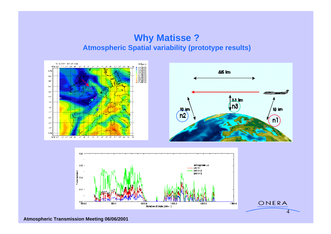### **Why Matisse ? Atmospheric Spatial variability (prototype results)**





ONERA

 $\sim$ 

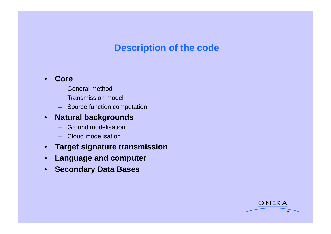## **Description of the code**

ONERA

 $5$  and  $5$ 

#### • **Core**

- General method
- Transmission model
- Source function computation

#### • **Natural backgrounds**

- Ground modelisation
- Cloud modelisation
- **Target signature transmission**
- **Language and computer**
- **Secondary Data Bases**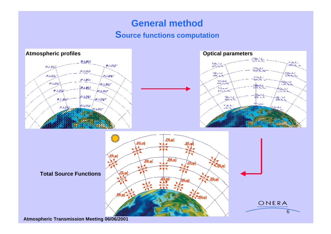## **General method Source functions computation**

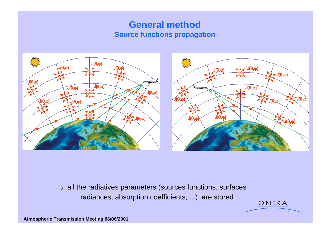### **General method Source functions propagation**



 $\Rightarrow$  all the radiatives parameters (sources functions, surfaces radiances, absorption coefficients, ...) are stored

ONERA

 $7$  and  $7$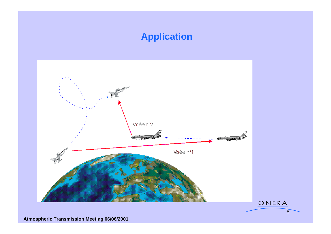## **Application**

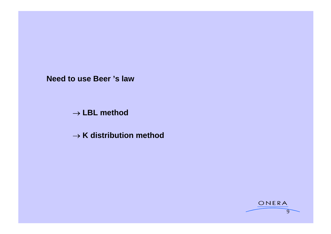**Need to use Beer 's law**

**LBL method**

 $\rightarrow$  K distribution method

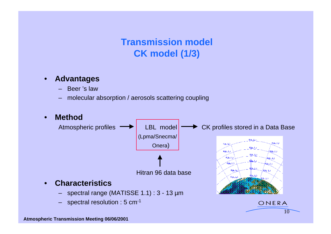# **Transmission model CK model (1/3)**

#### • **Advantages**

- Beer 's law
- molecular absorption / aerosols scattering coupling

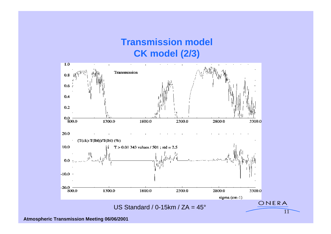# **Transmission model CK model (2/3)**

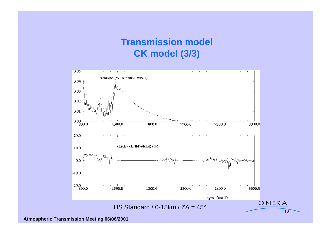# **Transmission model CK model (3/3)**

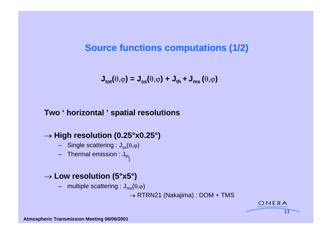### **Source functions computations (1/2)**

 $J_{\text{tot}}(\theta, \varphi) = J_{\text{ss}}(\theta, \varphi) + J_{\text{th}} + J_{\text{ms}}(\theta, \varphi)$ 

#### **Two ' horizontal ' spatial resolutions**

#### → High resolution (0.25°x0.25°)

- Single scattering :  $J_{ss}(\theta,\varphi)$
- Thermal emission :  $J_{th}$

#### → Low resolution (5°x5°)

– multiple scattering :  $J_{ms}(\theta,\varphi)$ 

 $\rightarrow$  RTRN21 (Nakajima) : DOM + TMS

ONERA

 $13$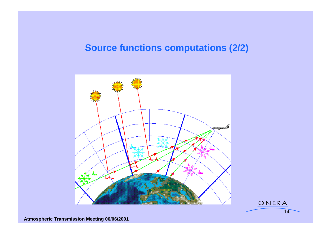## **Source functions computations (2/2)**



 $14$  and  $14$  and  $14$  and  $14$  and  $14$  and  $14$  and  $14$  and  $14$  and  $14$  and  $14$  and  $14$  and  $14$  and  $14$  and  $14$  and  $14$  and  $14$  and  $14$  and  $14$  and  $14$  and  $14$  and  $14$  and  $14$  and  $14$  and  $14$  and  $14$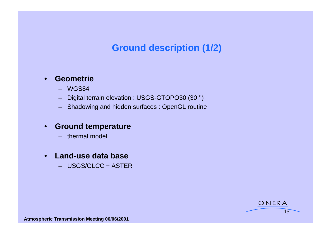# **Ground description (1/2)**

#### • **Geometrie**

- WGS84
- Digital terrain elevation : USGS-GTOPO30 (30 '')
- Shadowing and hidden surfaces : OpenGL routine

#### • **Ground temperature**

– thermal model

#### • **Land-use data base**

– USGS/GLCC + ASTER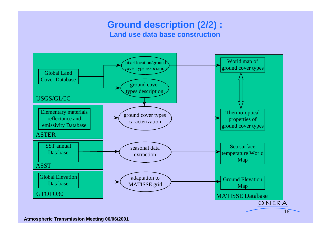### **Ground description (2/2) : Land use data base construction**

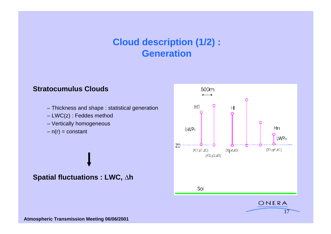### **Cloud description (1/2) : Generation Generation**

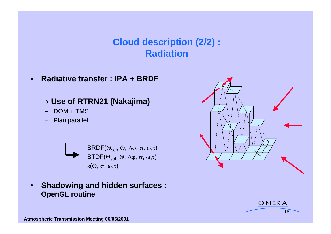# **Cloud description (2/2) : Radiation Radiation**

• **Radiative transfer : IPA + BRDF**

### **Use of RTRN21 (Nakajima)**

- 
- 



### • **Shadowing and hidden surfaces : OpenGL routine**



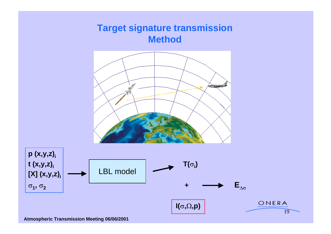# **Target signature transmission Method**

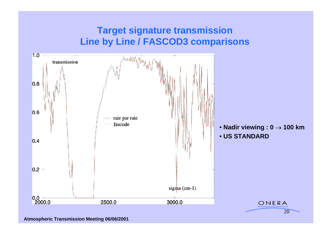# **Target signature transmission Line by Line / FASCOD3 comparisons**

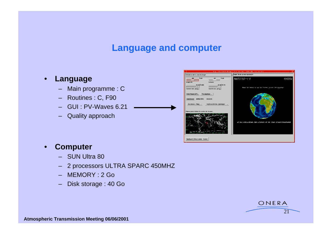### **Language and computer**

- -
	- Routines : C, F90
	- GUI : PV-Waves 6.21
	- Quality approach



#### • **Computer**

- SUN Ultra 80
- 2 processors ULTRA SPARC 450MHZ
- MEMORY : 2 Go
- Disk storage : 40 Go

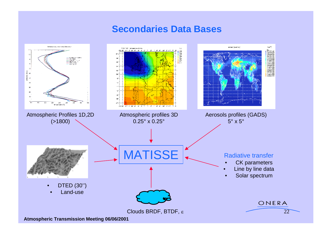### **Secondaries Data Bases**

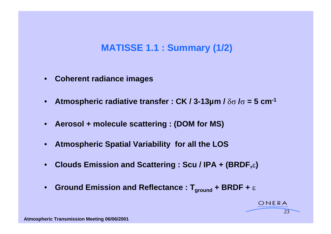### **MATISSE 1.1 : Summary (1/2)**

- **Coherent radiance images**
- **Atmospheric radiative transfer : CK / 3-13µm /**  $\delta\sigma$  **/** $\sigma$  **= 5 cm<sup>-1</sup>**
- **Aerosol + molecule scattering : (DOM for MS)**
- **Atmospheric Spatial Variability for all the LOS**
- Clouds Emission and Scattering : Scu / IPA + (BRDF,  $\varepsilon$ )
- Ground Emission and Reflectance :  $T_{ground}$  + BRDF +  $\varepsilon$

ONERA

23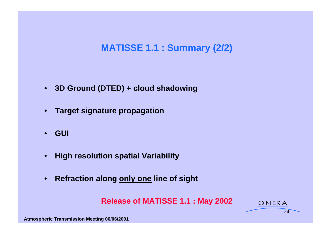# **MATISSE 1.1 : Summary (2/2)**

- **3D Ground (DTED) + cloud shadowing**
- **Target signature propagation**
- **GUI**
- **High resolution spatial Variability**
- **Refraction along only one line of sight**

**Release of MATISSE 1.1 : May 2002**

 $24$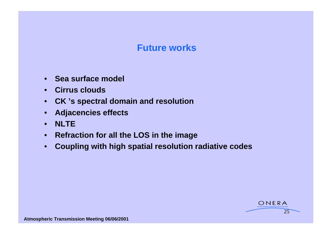### **Future works**

- **Sea surface model**
- **Cirrus clouds**
- **CK 's spectral domain and resolution**
- **Adjacencies effects**
- **NLTE**
- **Refraction for all the LOS in the image**
- **Coupling with high spatial resolution radiative codes**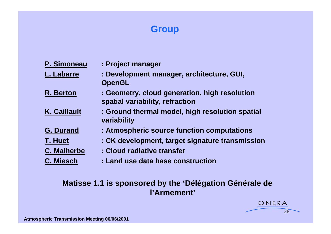# **Group Group Group Contract of the Contract of the Contract of the Contract of the Contract of the Contract of the Contract of the Contract of the Contract of the Contract of the Contract of the Contract of the Contr**

| : Project manager                                                                |
|----------------------------------------------------------------------------------|
| : Development manager, architecture, GUI,                                        |
| <b>OpenGL</b>                                                                    |
| : Geometry, cloud generation, high resolution<br>spatial variability, refraction |
| : Ground thermal model, high resolution spatial<br>variability                   |
| : Atmospheric source function computations                                       |
| : CK development, target signature transmission                                  |
| : Cloud radiative transfer                                                       |
| : Land use data base construction                                                |
|                                                                                  |

### **Matisse 1.1 is sponsored by the 'Délégation Générale de l'Armement'**

 $26$ 

ONERA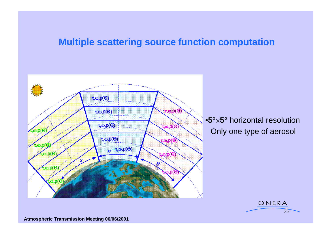### **Multiple scattering source function computation**

 $27$